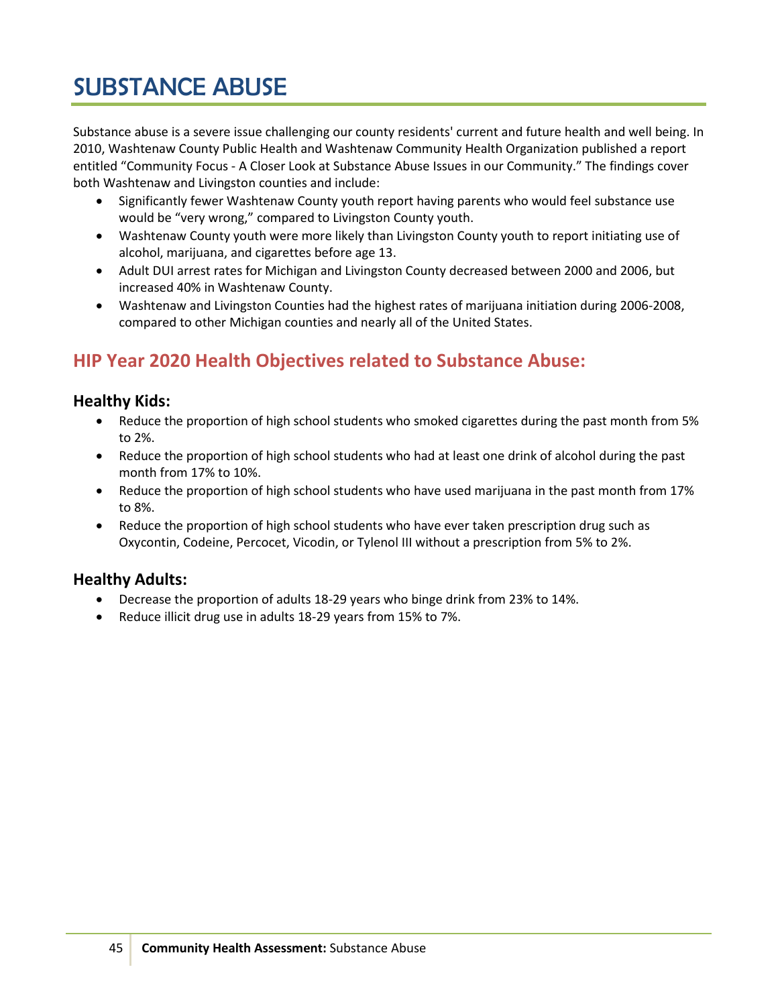# SUBSTANCE ABUSE

Substance abuse is a severe issue challenging our county residents' current and future health and well being. In 2010, Washtenaw County Public Health and Washtenaw Community Health Organization published a report entitled "Community Focus - A Closer Look at Substance Abuse Issues in our Community." The findings cover both Washtenaw and Livingston counties and include:

- Significantly fewer Washtenaw County youth report having parents who would feel substance use would be "very wrong," compared to Livingston County youth.
- Washtenaw County youth were more likely than Livingston County youth to report initiating use of alcohol, marijuana, and cigarettes before age 13.
- Adult DUI arrest rates for Michigan and Livingston County decreased between 2000 and 2006, but increased 40% in Washtenaw County.
- Washtenaw and Livingston Counties had the highest rates of marijuana initiation during 2006-2008, compared to other Michigan counties and nearly all of the United States.

# **HIP Year 2020 Health Objectives related to Substance Abuse:**

# **Healthy Kids:**

- Reduce the proportion of high school students who smoked cigarettes during the past month from 5% to 2%.
- Reduce the proportion of high school students who had at least one drink of alcohol during the past month from 17% to 10%.
- Reduce the proportion of high school students who have used marijuana in the past month from 17% to 8%.
- Reduce the proportion of high school students who have ever taken prescription drug such as Oxycontin, Codeine, Percocet, Vicodin, or Tylenol III without a prescription from 5% to 2%.

# **Healthy Adults:**

- Decrease the proportion of adults 18-29 years who binge drink from 23% to 14%.
- Reduce illicit drug use in adults 18-29 years from 15% to 7%.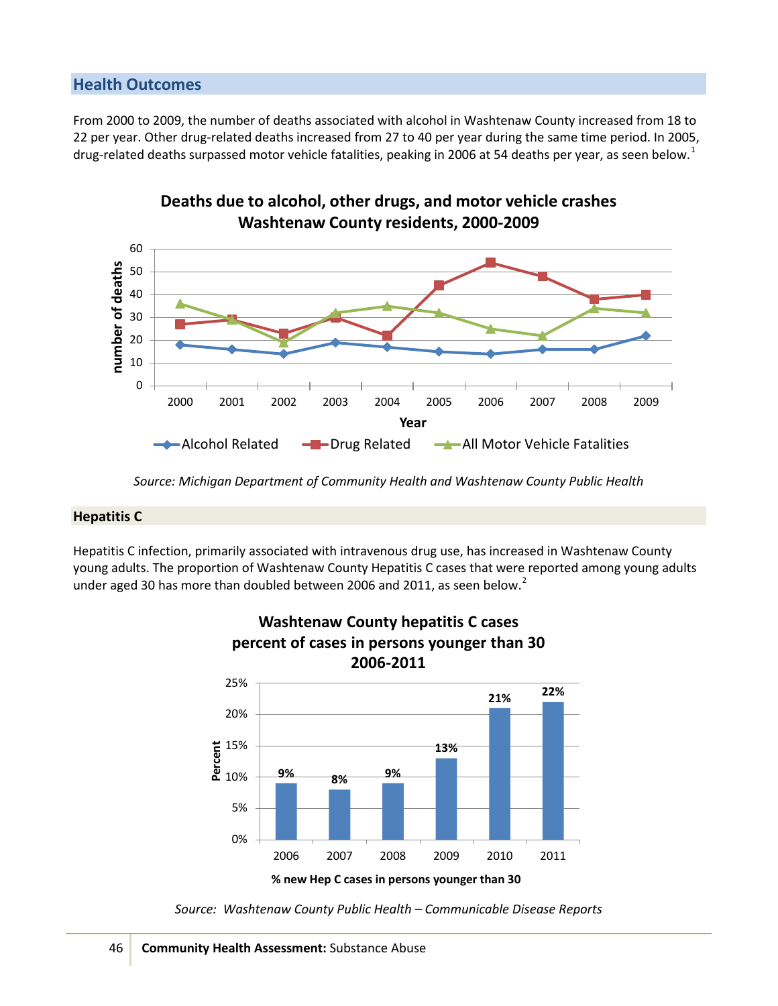# **Health Outcomes**

From 2000 to 2009, the number of deaths associated with alcohol in Washtenaw County increased from 18 to 22 per year. Other drug-related deaths increased from 27 to 40 per year during the same time period. In 2005, drug-related deaths surpassed motor vehicle fatalities, peaking in 2006 at 54 deaths per year, as seen below.<sup>[1](#page-5-0)</sup>

**Deaths due to alcohol, other drugs, and motor vehicle crashes**



*Source: Michigan Department of Community Health and Washtenaw County Public Health*

#### **Hepatitis C**

Hepatitis C infection, primarily associated with intravenous drug use, has increased in Washtenaw County young adults. The proportion of Washtenaw County Hepatitis C cases that were reported among young adults under aged 30 has more than doubled between [2](#page-5-1)006 and 2011, as seen below.<sup>2</sup>



**Washtenaw County hepatitis C cases** 

*Source: Washtenaw County Public Health – Communicable Disease Reports*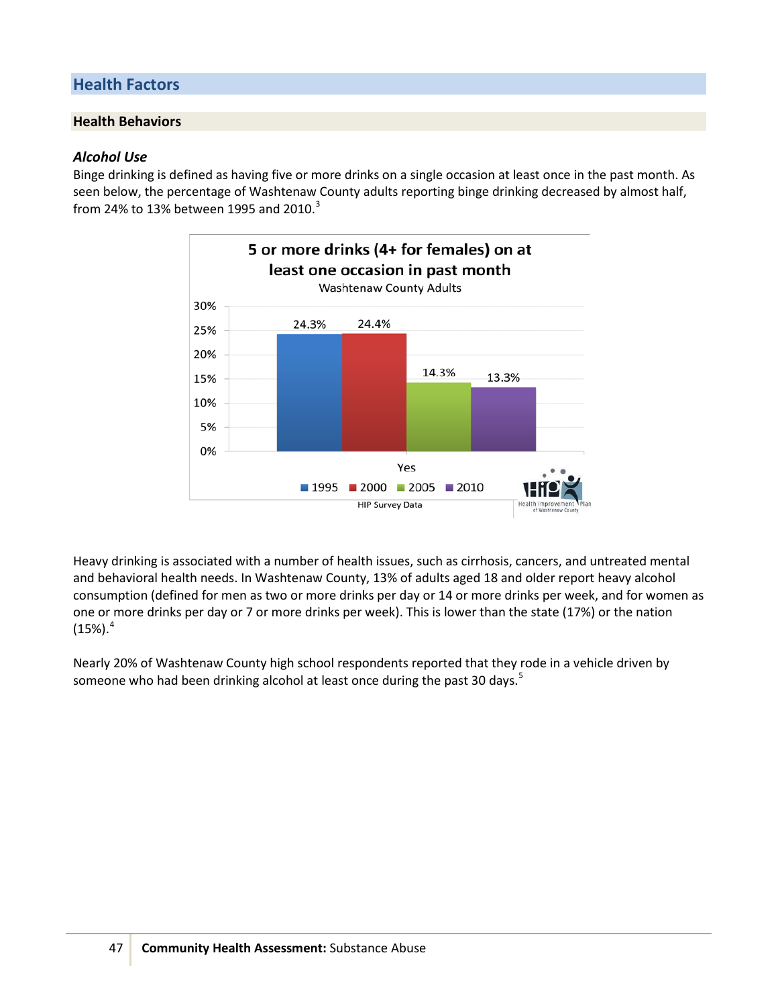# **Health Factors**

# **Health Behaviors**

#### *Alcohol Use*

Binge drinking is defined as having five or more drinks on a single occasion at least once in the past month. As seen below, the percentage of Washtenaw County adults reporting binge drinking decreased by almost half, from 24% to 1[3](#page-5-2)% between 1995 and 2010. $3$ 



Heavy drinking is associated with a number of health issues, such as cirrhosis, cancers, and untreated mental and behavioral health needs. In Washtenaw County, 13% of adults aged 18 and older report heavy alcohol consumption (defined for men as two or more drinks per day or 14 or more drinks per week, and for women as one or more drinks per day or 7 or more drinks per week). This is lower than the state (17%) or the nation  $(15\%)$ <sup>[4](#page-5-3)</sup>

Nearly 20% of Washtenaw County high school respondents reported that they rode in a vehicle driven by someone who had been drinking alcohol at least once during the past 30 days.<sup>[5](#page-5-4)</sup>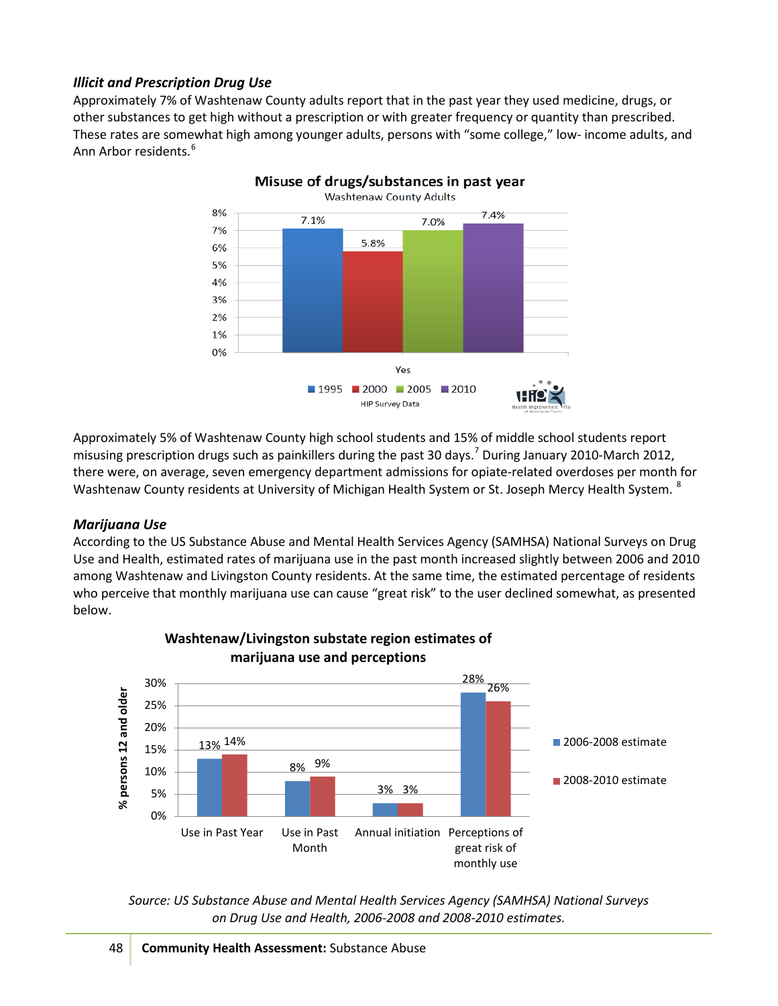# *Illicit and Prescription Drug Use*

Approximately 7% of Washtenaw County adults report that in the past year they used medicine, drugs, or other substances to get high without a prescription or with greater frequency or quantity than prescribed. These rates are somewhat high among younger adults, persons with "some college," low- income adults, and Ann Arbor residents. <sup>[6](#page-5-5)</sup>



Approximately 5% of Washtenaw County high school students and 15% of middle school students report misusing prescription drugs such as painkillers during the past 30 days.<sup>[7](#page-5-6)</sup> During January 2010-March 2012, there were, on average, seven emergency department admissions for opiate-related overdoses per month for Washtenaw County residents at University of Michigan Health System or St. Joseph Mercy Health System. <sup>[8](#page-5-7)</sup>

# *Marijuana Use*

According to the US Substance Abuse and Mental Health Services Agency (SAMHSA) National Surveys on Drug Use and Health, estimated rates of marijuana use in the past month increased slightly between 2006 and 2010 among Washtenaw and Livingston County residents. At the same time, the estimated percentage of residents who perceive that monthly marijuana use can cause "great risk" to the user declined somewhat, as presented below.



# **Washtenaw/Livingston substate region estimates of marijuana use and perceptions**

*Source: US Substance Abuse and Mental Health Services Agency (SAMHSA) National Surveys on Drug Use and Health, 2006-2008 and 2008-2010 estimates.*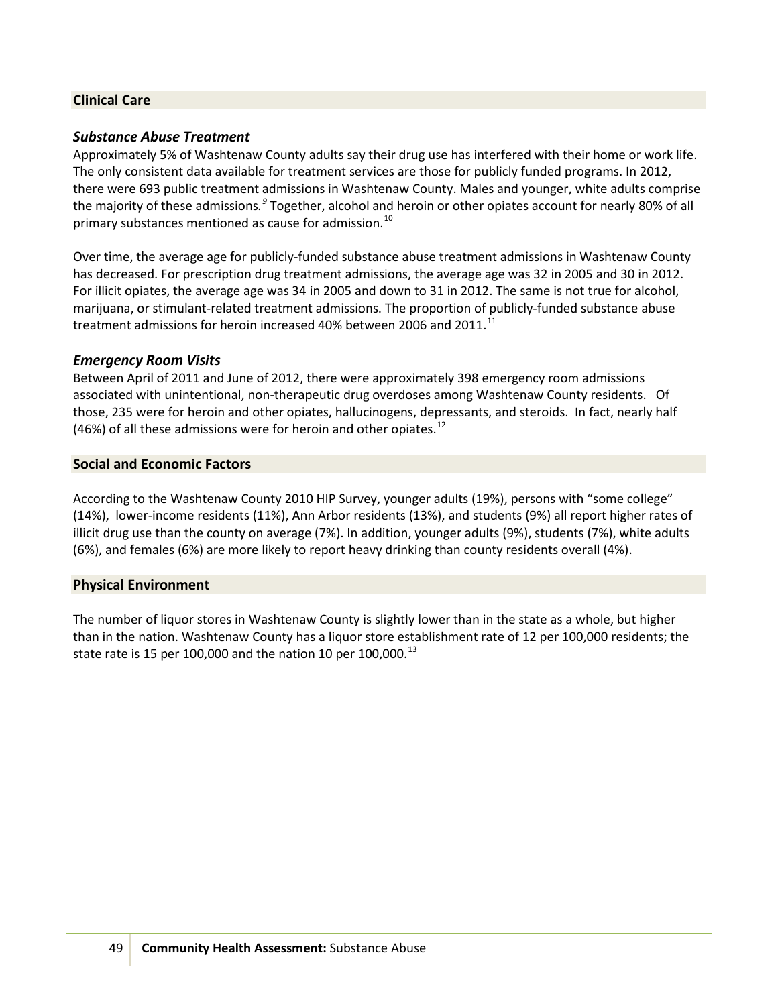## **Clinical Care**

# *Substance Abuse Treatment*

Approximately 5% of Washtenaw County adults say their drug use has interfered with their home or work life. The only consistent data available for treatment services are those for publicly funded programs. In 2012, there were 693 public treatment admissions in Washtenaw County. Males and younger, white adults comprise the majority of these admissions. <sup>[9](#page-5-8)</sup> Together, alcohol and heroin or other opiates account for nearly 80% of all primary substances mentioned as cause for admission.<sup>[10](#page-5-9)</sup>

Over time, the average age for publicly-funded substance abuse treatment admissions in Washtenaw County has decreased. For prescription drug treatment admissions, the average age was 32 in 2005 and 30 in 2012. For illicit opiates, the average age was 34 in 2005 and down to 31 in 2012. The same is not true for alcohol, marijuana, or stimulant-related treatment admissions. The proportion of publicly-funded substance abuse treatment admissions for heroin increased 40% between 2006 and 20[11](#page-5-10).<sup>11</sup>

#### *Emergency Room Visits*

Between April of 2011 and June of 2012, there were approximately 398 emergency room admissions associated with unintentional, non-therapeutic drug overdoses among Washtenaw County residents. Of those, 235 were for heroin and other opiates, hallucinogens, depressants, and steroids. In fact, nearly half (46%) of all these admissions were for heroin and other opiates.<sup>[12](#page-5-11)</sup>

#### **Social and Economic Factors**

According to the Washtenaw County 2010 HIP Survey, younger adults (19%), persons with "some college" (14%), lower-income residents (11%), Ann Arbor residents (13%), and students (9%) all report higher rates of illicit drug use than the county on average (7%). In addition, younger adults (9%), students (7%), white adults (6%), and females (6%) are more likely to report heavy drinking than county residents overall (4%).

#### **Physical Environment**

The number of liquor stores in Washtenaw County is slightly lower than in the state as a whole, but higher than in the nation. Washtenaw County has a liquor store establishment rate of 12 per 100,000 residents; the state rate is 15 per 100,000 and the nation 10 per 100,000.<sup>[13](#page-5-12)</sup>